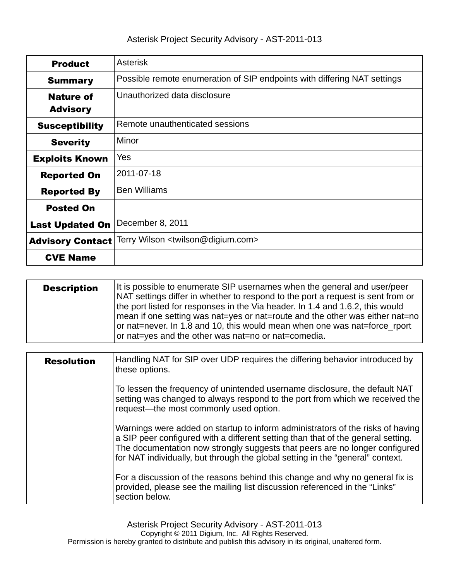| <b>Product</b>          | <b>Asterisk</b>                                                          |  |  |
|-------------------------|--------------------------------------------------------------------------|--|--|
| <b>Summary</b>          | Possible remote enumeration of SIP endpoints with differing NAT settings |  |  |
| <b>Nature of</b>        | Unauthorized data disclosure                                             |  |  |
| <b>Advisory</b>         |                                                                          |  |  |
| <b>Susceptibility</b>   | Remote unauthenticated sessions                                          |  |  |
| <b>Severity</b>         | Minor                                                                    |  |  |
| <b>Exploits Known</b>   | Yes                                                                      |  |  |
| <b>Reported On</b>      | 2011-07-18                                                               |  |  |
| <b>Reported By</b>      | <b>Ben Williams</b>                                                      |  |  |
| <b>Posted On</b>        |                                                                          |  |  |
| <b>Last Updated On</b>  | December 8, 2011                                                         |  |  |
| <b>Advisory Contact</b> | Terry Wilson <twilson@digium.com></twilson@digium.com>                   |  |  |
| <b>CVE Name</b>         |                                                                          |  |  |

| <b>Description</b> | It is possible to enumerate SIP usernames when the general and user/peer<br>NAT settings differ in whether to respond to the port a request is sent from or<br>the port listed for responses in the Via header. In 1.4 and 1.6.2, this would<br>  mean if one setting was nat=yes or nat=route and the other was either nat=no  <br>or nat=never. In 1.8 and 10, this would mean when one was nat=force rport<br>or nat=yes and the other was nat=no or nat=comedia. |
|--------------------|----------------------------------------------------------------------------------------------------------------------------------------------------------------------------------------------------------------------------------------------------------------------------------------------------------------------------------------------------------------------------------------------------------------------------------------------------------------------|
|--------------------|----------------------------------------------------------------------------------------------------------------------------------------------------------------------------------------------------------------------------------------------------------------------------------------------------------------------------------------------------------------------------------------------------------------------------------------------------------------------|

| <b>Resolution</b> | Handling NAT for SIP over UDP requires the differing behavior introduced by<br>these options.                                                                                                                                                                                                                                       |
|-------------------|-------------------------------------------------------------------------------------------------------------------------------------------------------------------------------------------------------------------------------------------------------------------------------------------------------------------------------------|
|                   | To lessen the frequency of unintended username disclosure, the default NAT<br>setting was changed to always respond to the port from which we received the<br>request-the most commonly used option.                                                                                                                                |
|                   | Warnings were added on startup to inform administrators of the risks of having<br>a SIP peer configured with a different setting than that of the general setting.<br>The documentation now strongly suggests that peers are no longer configured<br>for NAT individually, but through the global setting in the "general" context. |
|                   | For a discussion of the reasons behind this change and why no general fix is<br>provided, please see the mailing list discussion referenced in the "Links"<br>section below.                                                                                                                                                        |